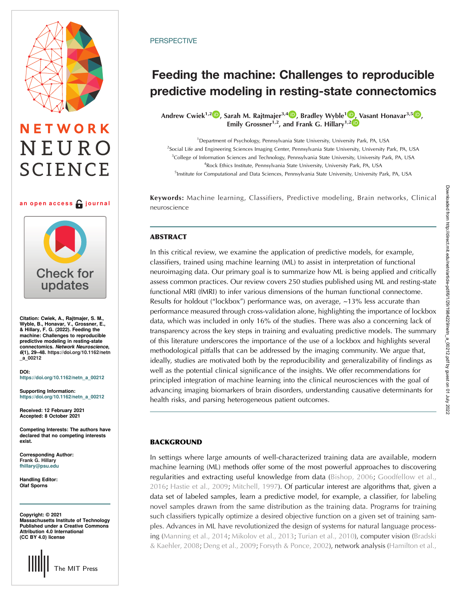# NETWORK NEURO **SCIENCE**

### an open access  $\bigcap$  journal



Citation: Cwiek, A., Rajtmajer, S. M., Wyble, B., Honavar, V., Grossner, E., & Hillary, F. G. (2022). Feeding the machine: Challenges to reproducible predictive modeling in resting-state connectomics. Network Neuroscience, 6(1), 29–48. [https://doi.org/10.1162/netn](https://doi.org/10.1162/netn_a_00212) [\\_a\\_00212](https://doi.org/10.1162/netn_a_00212)

DOI: [https://doi.org/10.1162/netn\\_a\\_00212](https://doi.org/10.1162/netn_a_00212)

Supporting Information: [https://doi.org/10.1162/netn\\_a\\_00212](https://doi.org/10.1162/netn_a_00212)

Received: 12 February 2021 Accepted: 8 October 2021

Competing Interests: The authors have declared that no competing interests exist.

Corresponding Author: Frank G. Hillary [fhillary@psu.edu](mailto:fhillary@psu.edu)

Handling Editor: Olaf Sporns

Copyright: © 2021 Massachusetts Institute of Technology Published under a Creative Commons Attribution 4.0 International (CC BY 4.0) license



# **PERSPECTIVE**

# Feeding the machine: Challenges to reproducible predictive modeling in resting-state connectomics

Andrew Cwiek<sup>1,2</sup><sup>(D</sup>, Sarah M. Rajtmajer<sup>3,4</sup><sup>(D</sup>, Bradley Wyble<sup>1</sup><sup>(D</sup>[, V](https://orcid.org/0000-0002-1427-0218)asant Honavar<sup>3,[5](https://orcid.org/0000-0001-5399-3489)</sup><sup>(D</sup>, Emily Grossner<sup>1,2</sup>, and Frank G. Hillary<sup>1,2</sup><sup>10</sup>

<sup>1</sup> Department of Psychology, Pennsylvania State University, University Park, PA, USA 2 Social Life and Engineering Sciences Imaging Center, Pennsylvania State University, University Park, PA, USA <sup>3</sup>College of Information Sciences and Technology, Pennsylvania State University, University Park, PA, USA 4 Rock Ethics Institute, Pennsylvania State University, University Park, PA, USA <sup>5</sup>Institute for Computational and Data Sciences, Pennsylvania State University, University Park, PA, USA

Keywords: Machine learning, Classifiers, Predictive modeling, Brain networks, Clinical neuroscience

# **ARSTRACT**

In this critical review, we examine the application of predictive models, for example, classifiers, trained using machine learning (ML) to assist in interpretation of functional neuroimaging data. Our primary goal is to summarize how ML is being applied and critically assess common practices. Our review covers 250 studies published using ML and resting-state functional MRI (fMRI) to infer various dimensions of the human functional connectome. Results for holdout ("lockbox") performance was, on average,  $\sim$ 13% less accurate than performance measured through cross-validation alone, highlighting the importance of lockbox data, which was included in only 16% of the studies. There was also a concerning lack of transparency across the key steps in training and evaluating predictive models. The summary of this literature underscores the importance of the use of a lockbox and highlights several methodological pitfalls that can be addressed by the imaging community. We argue that, ideally, studies are motivated both by the reproducibility and generalizability of findings as well as the potential clinical significance of the insights. We offer recommendations for principled integration of machine learning into the clinical neurosciences with the goal of advancing imaging biomarkers of brain disorders, understanding causative determinants for health risks, and parsing heterogeneous patient outcomes.

# **BACKGROUND**

In settings where large amounts of well-characterized training data are available, modern machine learning (ML) methods offer some of the most powerful approaches to discovering regularities and extracting useful knowledge from data [\(Bishop, 2006;](#page-15-0) [Goodfellow et al.,](#page-17-0) [2016;](#page-17-0) [Hastie et al., 2009](#page-17-0); [Mitchell, 1997](#page-18-0)). Of particular interest are algorithms that, given a data set of labeled samples, learn a predictive model, for example, a classifier, for labeling novel samples drawn from the same distribution as the training data. Programs for training such classifiers typically optimize a desired objective function on a given set of training samples. Advances in ML have revolutionized the design of systems for natural language processing ([Manning et al., 2014;](#page-18-0) [Mikolov et al., 2013](#page-18-0); [Turian et al., 2010\)](#page-19-0), computer vision [\(Bradski](#page-16-0) [& Kaehler, 2008](#page-16-0); [Deng et al., 2009;](#page-16-0) [Forsyth & Ponce, 2002](#page-16-0)), network analysis ([Hamilton et al.,](#page-17-0)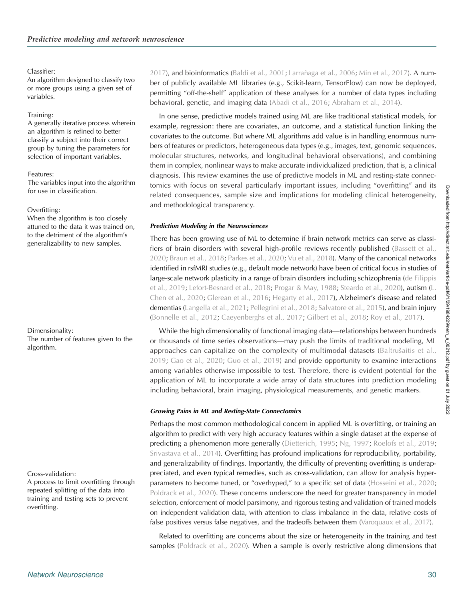# Classifier:

An algorithm designed to classify two or more groups using a given set of variables.

# Training:

A generally iterative process wherein an algorithm is refined to better classify a subject into their correct group by tuning the parameters for selection of important variables.

#### Features:

The variables input into the algorithm for use in classification.

# Overfitting:

When the algorithm is too closely attuned to the data it was trained on, to the detriment of the algorithm's generalizability to new samples.

# Dimensionality:

The number of features given to the algorithm.

# Cross-validation:

A process to limit overfitting through repeated splitting of the data into training and testing sets to prevent overfitting.

[2017\)](#page-17-0), and bioinformatics [\(Baldi et al., 2001](#page-15-0); [Larrañaga et al., 2006;](#page-17-0) [Min et al., 2017](#page-18-0)). A number of publicly available ML libraries (e.g., Scikit-learn, TensorFlow) can now be deployed, permitting "off-the-shelf" application of these analyses for a number of data types including behavioral, genetic, and imaging data [\(Abadi et al., 2016;](#page-15-0) [Abraham et al., 2014](#page-15-0)).

In one sense, predictive models trained using ML are like traditional statistical models, for example, regression: there are covariates, an outcome, and a statistical function linking the covariates to the outcome. But where ML algorithms add value is in handling enormous numbers of features or predictors, heterogeneous data types (e.g., images, text, genomic sequences, molecular structures, networks, and longitudinal behavioral observations), and combining them in complex, nonlinear ways to make accurate individualized prediction, that is, a clinical diagnosis. This review examines the use of predictive models in ML and resting-state connectomics with focus on several particularly important issues, including "overfitting" and its related consequences, sample size and implications for modeling clinical heterogeneity, and methodological transparency.

# Prediction Modeling in the Neurosciences

There has been growing use of ML to determine if brain network metrics can serve as classi-fiers of brain disorders with several high-profile reviews recently published [\(Bassett et al.,](#page-15-0) [2020;](#page-15-0) [Braun et al., 2018;](#page-16-0) [Parkes et al., 2020;](#page-18-0) [Vu et al., 2018](#page-19-0)). Many of the canonical networks identified in rsfMRI studies (e.g., default mode network) have been of critical focus in studies of large-scale network plasticity in a range of brain disorders including schizophrenia ([de Filippis](#page-16-0) [et al., 2019](#page-16-0); [Lefort-Besnard et al., 2018;](#page-17-0) [Progar & May, 1988](#page-18-0); [Steardo et al., 2020\)](#page-18-0), autism ([L.](#page-16-0) [Chen et al., 2020](#page-16-0); [Glerean et al., 2016](#page-16-0); [Hegarty et al., 2017](#page-17-0)), Alzheimer's disease and related dementias [\(Langella et al., 2021](#page-17-0); [Pellegrini et al., 2018;](#page-18-0) [Salvatore et al., 2015\)](#page-18-0), and brain injury ([Bonnelle et al., 2012;](#page-15-0) [Caeyenberghs et al., 2017;](#page-16-0) [Gilbert et al., 2018](#page-16-0); [Roy et al., 2017\)](#page-18-0).

While the high dimensionality of functional imaging data—relationships between hundreds or thousands of time series observations—may push the limits of traditional modeling, ML approaches can capitalize on the complexity of multimodal datasets (Baltruš[aitis et al.,](#page-15-0) [2019](#page-15-0); [Gao et al., 2020;](#page-16-0) [Guo et al., 2019](#page-17-0)) and provide opportunity to examine interactions among variables otherwise impossible to test. Therefore, there is evident potential for the application of ML to incorporate a wide array of data structures into prediction modeling including behavioral, brain imaging, physiological measurements, and genetic markers.

# Growing Pains in ML and Resting-State Connectomics

Perhaps the most common methodological concern in applied ML is overfitting, or training an algorithm to predict with very high accuracy features within a single dataset at the expense of predicting a phenomenon more generally [\(Dietterich, 1995;](#page-16-0) [Ng, 1997](#page-18-0); [Roelofs et al., 2019](#page-18-0); [Srivastava et al., 2014\)](#page-18-0). Overfitting has profound implications for reproducibility, portability, and generalizability of findings. Importantly, the difficulty of preventing overfitting is underappreciated, and even typical remedies, such as cross-validation, can allow for analysis hyper-parameters to become tuned, or "overhyped," to a specific set of data ([Hosseini et al., 2020](#page-17-0); [Poldrack et al., 2020](#page-18-0)). These concerns underscore the need for greater transparency in model selection, enforcement of model parsimony, and rigorous testing and validation of trained models on independent validation data, with attention to class imbalance in the data, relative costs of false positives versus false negatives, and the tradeoffs between them ([Varoquaux et al., 2017](#page-19-0)).

Related to overfitting are concerns about the size or heterogeneity in the training and test samples ([Poldrack et al., 2020\)](#page-18-0). When a sample is overly restrictive along dimensions that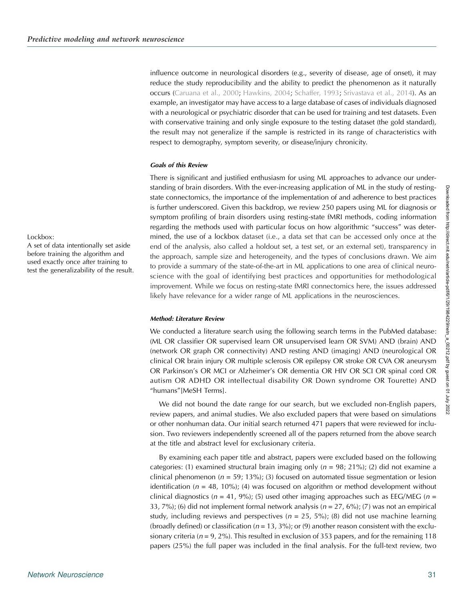influence outcome in neurological disorders (e.g., severity of disease, age of onset), it may reduce the study reproducibility and the ability to predict the phenomenon as it naturally occurs ([Caruana et al., 2000](#page-16-0); [Hawkins, 2004](#page-17-0); [Schaffer, 1993;](#page-18-0) [Srivastava et al., 2014](#page-18-0)). As an example, an investigator may have access to a large database of cases of individuals diagnosed with a neurological or psychiatric disorder that can be used for training and test datasets. Even with conservative training and only single exposure to the testing dataset (the gold standard), the result may not generalize if the sample is restricted in its range of characteristics with respect to demography, symptom severity, or disease/injury chronicity.

#### Goals of this Review

There is significant and justified enthusiasm for using ML approaches to advance our understanding of brain disorders. With the ever-increasing application of ML in the study of restingstate connectomics, the importance of the implementation of and adherence to best practices is further underscored. Given this backdrop, we review 250 papers using ML for diagnosis or symptom profiling of brain disorders using resting-state fMRI methods, coding information regarding the methods used with particular focus on how algorithmic "success" was determined, the use of a lockbox dataset (i.e., a data set that can be accessed only once at the end of the analysis, also called a holdout set, a test set, or an external set), transparency in the approach, sample size and heterogeneity, and the types of conclusions drawn. We aim to provide a summary of the state-of-the-art in ML applications to one area of clinical neuroscience with the goal of identifying best practices and opportunities for methodological improvement. While we focus on resting-state fMRI connectomics here, the issues addressed likely have relevance for a wider range of ML applications in the neurosciences.

#### Method: Literature Review

We conducted a literature search using the following search terms in the PubMed database: (ML OR classifier OR supervised learn OR unsupervised learn OR SVM) AND (brain) AND (network OR graph OR connectivity) AND resting AND (imaging) AND (neurological OR clinical OR brain injury OR multiple sclerosis OR epilepsy OR stroke OR CVA OR aneurysm OR Parkinson's OR MCI or Alzheimer's OR dementia OR HIV OR SCI OR spinal cord OR autism OR ADHD OR intellectual disability OR Down syndrome OR Tourette) AND "humans"[MeSH Terms].

We did not bound the date range for our search, but we excluded non-English papers, review papers, and animal studies. We also excluded papers that were based on simulations or other nonhuman data. Our initial search returned 471 papers that were reviewed for inclusion. Two reviewers independently screened all of the papers returned from the above search at the title and abstract level for exclusionary criteria.

By examining each paper title and abstract, papers were excluded based on the following categories: (1) examined structural brain imaging only ( $n = 98$ ; 21%); (2) did not examine a clinical phenomenon ( $n = 59$ ; 13%); (3) focused on automated tissue segmentation or lesion identification ( $n = 48$ , 10%); (4) was focused on algorithm or method development without clinical diagnostics ( $n = 41, 9\%$ ); (5) used other imaging approaches such as EEG/MEG ( $n =$ 33, 7%); (6) did not implement formal network analysis ( $n = 27, 6\%$ ); (7) was not an empirical study, including reviews and perspectives ( $n = 25, 5\%$ ); (8) did not use machine learning (broadly defined) or classification ( $n = 13$ ,  $3\%$ ); or (9) another reason consistent with the exclusionary criteria ( $n = 9, 2\%$ ). This resulted in exclusion of 353 papers, and for the remaining 118 papers (25%) the full paper was included in the final analysis. For the full-text review, two

# Lockbox:

A set of data intentionally set aside before training the algorithm and used exactly once after training to test the generalizability of the result. Downloaded from http://direct.mit.edu/netn/article-pdf/6/1/29/1984229/netn\_a\_00212.pdf by guest on 01 July 2022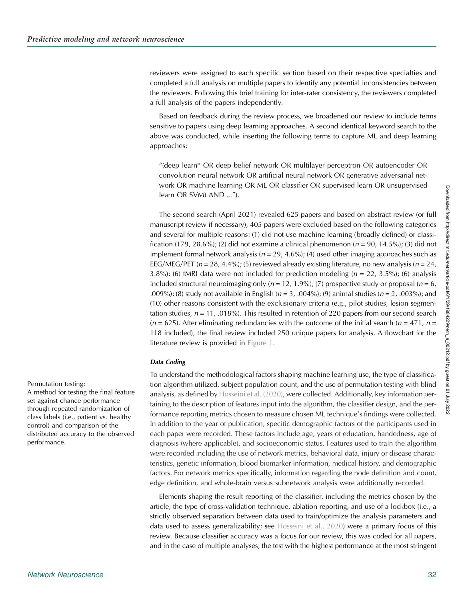reviewers were assigned to each specific section based on their respective specialties and completed a full analysis on multiple papers to identify any potential inconsistencies between the reviewers. Following this brief training for inter-rater consistency, the reviewers completed a full analysis of the papers independently.

Based on feedback during the review process, we broadened our review to include terms sensitive to papers using deep learning approaches. A second identical keyword search to the above was conducted, while inserting the following terms to capture ML and deep learning approaches:

"(deep learn\* OR deep belief network OR multilayer perceptron OR autoencoder OR convolution neural network OR artificial neural network OR generative adversarial network OR machine learning OR ML OR classifier OR supervised learn OR unsupervised learn OR SVM) AND …").

The second search (April 2021) revealed 625 papers and based on abstract review (or full manuscript review if necessary), 405 papers were excluded based on the following categories and several for multiple reasons: (1) did not use machine learning (broadly defined) or classification (179, 28.6%); (2) did not examine a clinical phenomenon ( $n = 90$ , 14.5%); (3) did not implement formal network analysis ( $n = 29, 4.6\%$ ); (4) used other imaging approaches such as EEG/MEG/PET ( $n = 28, 4.4\%$ ); (5) reviewed already existing literature, no new analysis ( $n = 24$ , 3.8%); (6) fMRI data were not included for prediction modeling  $(n = 22, 3.5\%)$ ; (6) analysis included structural neuroimaging only ( $n = 12, 1.9\%$ ); (7) prospective study or proposal ( $n = 6$ , .009%); (8) study not available in English ( $n = 3$ , .004%); (9) animal studies ( $n = 2$ , .003%); and (10) other reasons consistent with the exclusionary criteria (e.g., pilot studies, lesion segmentation studies,  $n = 11$ , .018%). This resulted in retention of 220 papers from our second search  $(n = 625)$ . After eliminating redundancies with the outcome of the initial search  $(n = 471, n = 100)$ 118 included), the final review included 250 unique papers for analysis. A flowchart for the literature review is provided in [Figure 1](#page-4-0).

#### Data Coding

To understand the methodological factors shaping machine learning use, the type of classification algorithm utilized, subject population count, and the use of permutation testing with blind analysis, as defined by [Hosseini et al. \(2020\)](#page-17-0), were collected. Additionally, key information pertaining to the description of features input into the algorithm, the classifier design, and the performance reporting metrics chosen to measure chosen ML technique's findings were collected. In addition to the year of publication, specific demographic factors of the participants used in each paper were recorded. These factors include age, years of education, handedness, age of diagnosis (where applicable), and socioeconomic status. Features used to train the algorithm were recorded including the use of network metrics, behavioral data, injury or disease characteristics, genetic information, blood biomarker information, medical history, and demographic factors. For network metrics specifically, information regarding the node definition and count, edge definition, and whole-brain versus subnetwork analysis were additionally recorded.

Elements shaping the result reporting of the classifier, including the metrics chosen by the article, the type of cross-validation technique, ablation reporting, and use of a lockbox (i.e., a strictly observed separation between data used to train/optimize the analysis parameters and data used to assess generalizability; see [Hosseini et al., 2020\)](#page-17-0) were a primary focus of this review. Because classifier accuracy was a focus for our review, this was coded for all papers, and in the case of multiple analyses, the test with the highest performance at the most stringent

Permutation testing:

A method for testing the final feature set against chance performance through repeated randomization of class labels (i.e., patient vs. healthy control) and comparison of the distributed accuracy to the observed performance.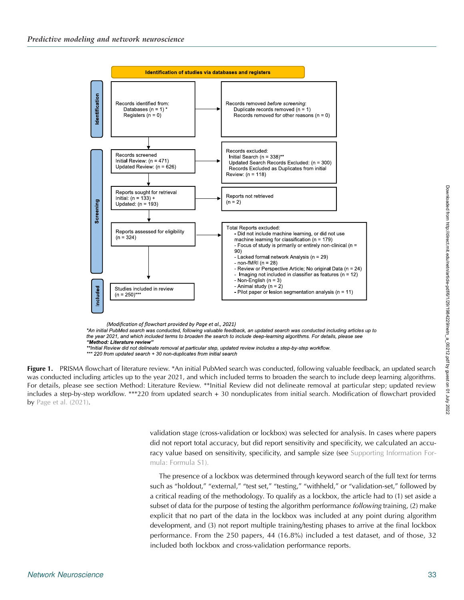<span id="page-4-0"></span>

(Modification of flowchart provided by Page et al., 2021)

\*An initial PubMed search was conducted, following valuable feedback, an updated search was conducted including articles up to the year 2021, and which included terms to broaden the search to include deep-learning algorithms. For details, please see "Method: Literature review"

Figure 1. PRISMA flowchart of literature review. \*An initial PubMed search was conducted, following valuable feedback, an updated search was conducted including articles up to the year 2021, and which included terms to broaden the search to include deep learning algorithms. For details, please see section Method: Literature Review. \*\*Initial Review did not delineate removal at particular step; updated review includes a step-by-step workflow. \*\*\*220 from updated search + 30 nonduplicates from initial search. Modification of flowchart provided by [Page et al. \(2021\).](#page-18-0)

> validation stage (cross-validation or lockbox) was selected for analysis. In cases where papers did not report total accuracy, but did report sensitivity and specificity, we calculated an accuracy value based on sensitivity, specificity, and sample size (see Supporting Information Formula: Formula S1).

> The presence of a lockbox was determined through keyword search of the full text for terms such as "holdout," "external," "test set," "testing," "withheld," or "validation-set," followed by a critical reading of the methodology. To qualify as a lockbox, the article had to (1) set aside a subset of data for the purpose of testing the algorithm performance *following* training, (2) make explicit that no part of the data in the lockbox was included at any point during algorithm development, and (3) not report multiple training/testing phases to arrive at the final lockbox performance. From the 250 papers, 44 (16.8%) included a test dataset, and of those, 32 included both lockbox and cross-validation performance reports.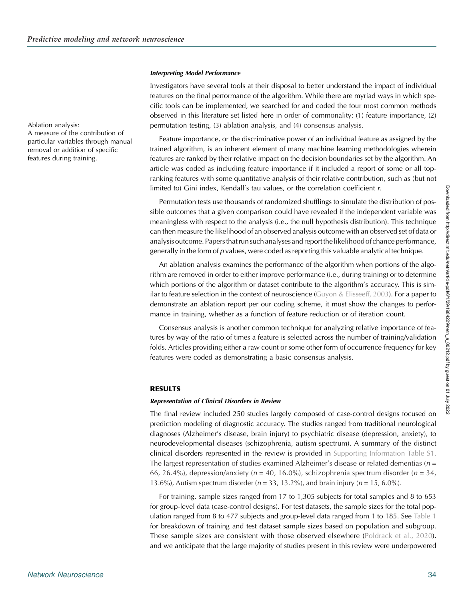#### Interpreting Model Performance

Investigators have several tools at their disposal to better understand the impact of individual features on the final performance of the algorithm. While there are myriad ways in which specific tools can be implemented, we searched for and coded the four most common methods observed in this literature set listed here in order of commonality: (1) feature importance, (2) permutation testing, (3) ablation analysis, and (4) consensus analysis.

Feature importance, or the discriminative power of an individual feature as assigned by the trained algorithm, is an inherent element of many machine learning methodologies wherein features are ranked by their relative impact on the decision boundaries set by the algorithm. An article was coded as including feature importance if it included a report of some or all topranking features with some quantitative analysis of their relative contribution, such as (but not limited to) Gini index, Kendall's tau values, or the correlation coefficient r.

Permutation tests use thousands of randomized shufflings to simulate the distribution of possible outcomes that a given comparison could have revealed if the independent variable was meaningless with respect to the analysis (i.e., the null hypothesis distribution). This technique can then measure the likelihood of an observed analysis outcome with an observed set of data or analysis outcome. Papers that run such analyses and report the likelihood of chance performance, generally in the form of  $p$  values, were coded as reporting this valuable analytical technique.

An ablation analysis examines the performance of the algorithm when portions of the algorithm are removed in order to either improve performance (i.e., during training) or to determine which portions of the algorithm or dataset contribute to the algorithm's accuracy. This is similar to feature selection in the context of neuroscience ([Guyon & Elisseeff, 2003](#page-17-0)). For a paper to demonstrate an ablation report per our coding scheme, it must show the changes to performance in training, whether as a function of feature reduction or of iteration count.

Consensus analysis is another common technique for analyzing relative importance of features by way of the ratio of times a feature is selected across the number of training/validation folds. Articles providing either a raw count or some other form of occurrence frequency for key features were coded as demonstrating a basic consensus analysis.

#### RESULTS

#### Representation of Clinical Disorders in Review

The final review included 250 studies largely composed of case-control designs focused on prediction modeling of diagnostic accuracy. The studies ranged from traditional neurological diagnoses (Alzheimer's disease, brain injury) to psychiatric disease (depression, anxiety), to neurodevelopmental diseases (schizophrenia, autism spectrum). A summary of the distinct clinical disorders represented in the review is provided in Supporting Information Table S1. The largest representation of studies examined Alzheimer's disease or related dementias ( $n =$ 66, 26.4%), depression/anxiety ( $n = 40$ , 16.0%), schizophrenia spectrum disorder ( $n = 34$ , 13.6%), Autism spectrum disorder ( $n = 33, 13.2$ %), and brain injury ( $n = 15, 6.0$ %).

For training, sample sizes ranged from 17 to 1,305 subjects for total samples and 8 to 653 for group-level data (case-control designs). For test datasets, the sample sizes for the total population ranged from 8 to 477 subjects and group-level data ranged from 1 to 185. See [Table 1](#page-6-0) for breakdown of training and test dataset sample sizes based on population and subgroup. These sample sizes are consistent with those observed elsewhere [\(Poldrack et al., 2020\)](#page-18-0), and we anticipate that the large majority of studies present in this review were underpowered

Ablation analysis:

A measure of the contribution of particular variables through manual removal or addition of specific features during training.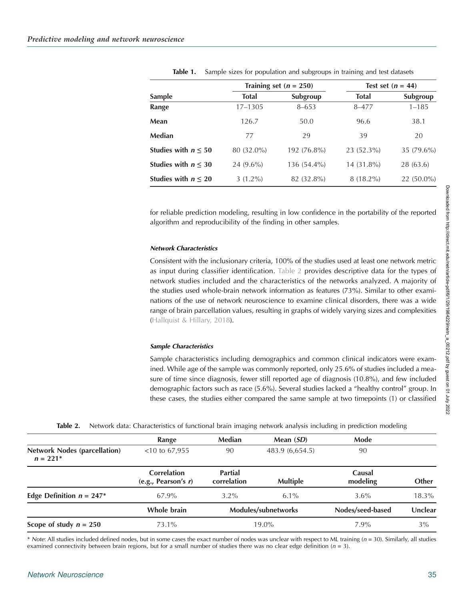<span id="page-6-0"></span>

|                          |              | Training set $(n = 250)$ | Test set $(n = 44)$ |              |  |
|--------------------------|--------------|--------------------------|---------------------|--------------|--|
| <b>Sample</b>            | <b>Total</b> | Subgroup                 | <b>Total</b>        | Subgroup     |  |
| Range                    | 17-1305      | $8 - 653$                | 8-477               | $1 - 185$    |  |
| Mean                     | 126.7        | 50.0                     | 96.6                | 38.1         |  |
| Median                   | 77           | 29                       | 39                  | 20           |  |
| Studies with $n \leq 50$ | 80 (32.0%)   | 192 (76.8%)              | 23 (52.3%)          | $35(79.6\%)$ |  |
| Studies with $n \leq 30$ | $24(9.6\%)$  | 136 (54.4%)              | 14 (31.8%)          | 28 (63.6)    |  |
| Studies with $n \leq 20$ | $3(1.2\%)$   | 82 (32.8%)               | $8(18.2\%)$         | $22(50.0\%)$ |  |

Table 1. Sample sizes for population and subgroups in training and test datasets

for reliable prediction modeling, resulting in low confidence in the portability of the reported algorithm and reproducibility of the finding in other samples.

#### Network Characteristics

Consistent with the inclusionary criteria, 100% of the studies used at least one network metric as input during classifier identification. Table 2 provides descriptive data for the types of network studies included and the characteristics of the networks analyzed. A majority of the studies used whole-brain network information as features (73%). Similar to other examinations of the use of network neuroscience to examine clinical disorders, there was a wide range of brain parcellation values, resulting in graphs of widely varying sizes and complexities ([Hallquist & Hillary, 2018\)](#page-17-0).

#### Sample Characteristics

Sample characteristics including demographics and common clinical indicators were examined. While age of the sample was commonly reported, only 25.6% of studies included a measure of time since diagnosis, fewer still reported age of diagnosis (10.8%), and few included demographic factors such as race (5.6%). Several studies lacked a "healthy control" group. In these cases, the studies either compared the same sample at two timepoints (1) or classified

|  | Table 2. Network data: Characteristics of functional brain imaging network analysis including in prediction modeling |  |  |  |  |  |  |  |  |  |  |
|--|----------------------------------------------------------------------------------------------------------------------|--|--|--|--|--|--|--|--|--|--|
|--|----------------------------------------------------------------------------------------------------------------------|--|--|--|--|--|--|--|--|--|--|

|                                                   | Range                                     | Median                        | Mean (SD)           | Mode               |          |
|---------------------------------------------------|-------------------------------------------|-------------------------------|---------------------|--------------------|----------|
| <b>Network Nodes (parcellation)</b><br>$n = 221*$ | $<$ 10 to 67,955                          | 90                            | 483.9 (6,654.5)     | 90                 |          |
|                                                   | <b>Correlation</b><br>(e.g., Pearson's r) | <b>Partial</b><br>correlation | <b>Multiple</b>     | Causal<br>modeling | Other    |
| Edge Definition $n = 247*$                        | 67.9%                                     | $3.2\%$                       | $6.1\%$             | $3.6\%$            | $18.3\%$ |
|                                                   | Whole brain                               |                               | Modules/subnetworks | Nodes/seed-based   | Unclear  |
| Scope of study $n = 250$                          | 73.1%                                     | $19.0\%$                      |                     | $7.9\%$            | 3%       |

\* Note: All studies included defined nodes, but in some cases the exact number of nodes was unclear with respect to ML training  $(n = 30)$ . Similarly, all studies examined connectivity between brain regions, but for a small number of studies there was no clear edge definition ( $n = 3$ ).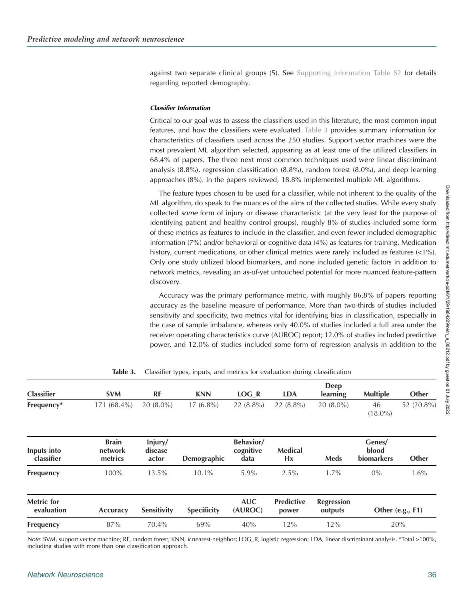against two separate clinical groups (5). See Supporting Information Table S2 for details regarding reported demography.

#### Classifier Information

Critical to our goal was to assess the classifiers used in this literature, the most common input features, and how the classifiers were evaluated. Table 3 provides summary information for characteristics of classifiers used across the 250 studies. Support vector machines were the most prevalent ML algorithm selected, appearing as at least one of the utilized classifiers in 68.4% of papers. The three next most common techniques used were linear discriminant analysis (8.8%), regression classification (8.8%), random forest (8.0%), and deep learning approaches (8%). In the papers reviewed, 18.8% implemented multiple ML algorithms.

The feature types chosen to be used for a classifier, while not inherent to the quality of the ML algorithm, do speak to the nuances of the aims of the collected studies. While every study collected some form of injury or disease characteristic (at the very least for the purpose of identifying patient and healthy control groups), roughly 8% of studies included some form of these metrics as features to include in the classifier, and even fewer included demographic information (7%) and/or behavioral or cognitive data (4%) as features for training. Medication history, current medications, or other clinical metrics were rarely included as features (<1%). Only one study utilized blood biomarkers, and none included genetic factors in addition to network metrics, revealing an as-of-yet untouched potential for more nuanced feature-pattern discovery.

Accuracy was the primary performance metric, with roughly 86.8% of papers reporting accuracy as the baseline measure of performance. More than two-thirds of studies included sensitivity and specificity, two metrics vital for identifying bias in classification, especially in the case of sample imbalance, whereas only 40.0% of studies included a full area under the receiver operating characteristics curve (AUROC) report; 12.0% of studies included predictive power, and 12.0% of studies included some form of regression analysis in addition to the

|                                    |                             |                    |                                |                            | <b>Deep</b>                  |                                      |                  |
|------------------------------------|-----------------------------|--------------------|--------------------------------|----------------------------|------------------------------|--------------------------------------|------------------|
| <b>SVM</b>                         | RF                          | <b>KNN</b>         | LOG R                          | <b>LDA</b>                 | <b>learning</b>              | <b>Multiple</b>                      | Other            |
| $171(68.4\%)$                      | $20(8.0\%)$                 | $17(6.8\%)$        | $22(8.8\%)$                    | $22(8.8\%)$                | $20(8.0\%)$                  | 46<br>$(18.0\%)$                     | 52 (20.8%)       |
| <b>Brain</b><br>network<br>metrics | Injury/<br>disease<br>actor | Demographic        | Behavior/<br>cognitive<br>data | <b>Medical</b><br>Hx       | Meds                         | Genes/<br>blood<br><b>biomarkers</b> | Other            |
| 100%                               | 13.5%                       | $10.1\%$           | 5.9%                           | 2.5%                       | $1.7\%$                      | $0\%$                                | 1.6%             |
| Accuracy                           | Sensitivity                 | <b>Specificity</b> | <b>AUC</b><br>(AUROC)          | <b>Predictive</b><br>power | <b>Regression</b><br>outputs |                                      | Other (e.g., F1) |
| 87%                                | 70.4%                       | 69%                | 40%                            | 12%                        | 12%                          |                                      | 20%              |
|                                    |                             |                    |                                |                            |                              |                                      |                  |

Table 3. Classifier types, inputs, and metrics for evaluation during classification

Note: SVM, support vector machine; RF, random forest; KNN, k nearest-neighbor; LOG\_R, logistic regression; LDA, linear discriminant analysis. \*Total >100%, including studies with more than one classification approach.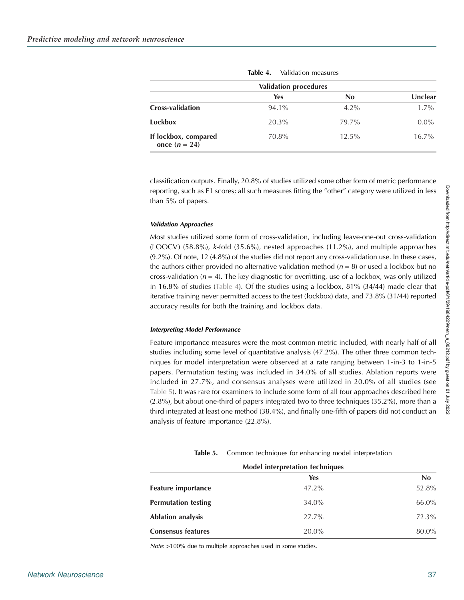<span id="page-8-0"></span>

| <b>Validation procedures</b>            |            |         |          |  |  |
|-----------------------------------------|------------|---------|----------|--|--|
|                                         | <b>Yes</b> | No      | Unclear  |  |  |
| <b>Cross-validation</b>                 | 94.1%      | $4.2\%$ | $1.7\%$  |  |  |
| Lockbox                                 | 20.3%      | 79.7%   | $0.0\%$  |  |  |
| If lockbox, compared<br>once $(n = 24)$ | 70.8%      | 12.5%   | $16.7\%$ |  |  |

Table 4. Validation measures

classification outputs. Finally, 20.8% of studies utilized some other form of metric performance reporting, such as F1 scores; all such measures fitting the "other" category were utilized in less than 5% of papers.

#### Validation Approaches

Most studies utilized some form of cross-validation, including leave-one-out cross-validation (LOOCV) (58.8%), k-fold (35.6%), nested approaches (11.2%), and multiple approaches (9.2%). Of note, 12 (4.8%) of the studies did not report any cross-validation use. In these cases, the authors either provided no alternative validation method ( $n = 8$ ) or used a lockbox but no cross-validation ( $n = 4$ ). The key diagnostic for overfitting, use of a lockbox, was only utilized in 16.8% of studies (Table 4). Of the studies using a lockbox, 81% (34/44) made clear that iterative training never permitted access to the test (lockbox) data, and 73.8% (31/44) reported accuracy results for both the training and lockbox data.

#### Interpreting Model Performance

Feature importance measures were the most common metric included, with nearly half of all studies including some level of quantitative analysis (47.2%). The other three common techniques for model interpretation were observed at a rate ranging between 1-in-3 to 1-in-5 papers. Permutation testing was included in 34.0% of all studies. Ablation reports were included in 27.7%, and consensus analyses were utilized in 20.0% of all studies (see Table 5). It was rare for examiners to include some form of all four approaches described here (2.8%), but about one-third of papers integrated two to three techniques (35.2%), more than a third integrated at least one method (38.4%), and finally one-fifth of papers did not conduct an analysis of feature importance (22.8%).

Table 5. Common techniques for enhancing model interpretation

| Model interpretation techniques |            |       |  |  |
|---------------------------------|------------|-------|--|--|
|                                 | <b>Yes</b> | No    |  |  |
| <b>Feature importance</b>       | $47.2\%$   | 52.8% |  |  |
| <b>Permutation testing</b>      | 34.0%      | 66.0% |  |  |
| <b>Ablation analysis</b>        | $27.7\%$   | 72.3% |  |  |
| <b>Consensus features</b>       | $20.0\%$   | 80.0% |  |  |
|                                 |            |       |  |  |

Note: >100% due to multiple approaches used in some studies.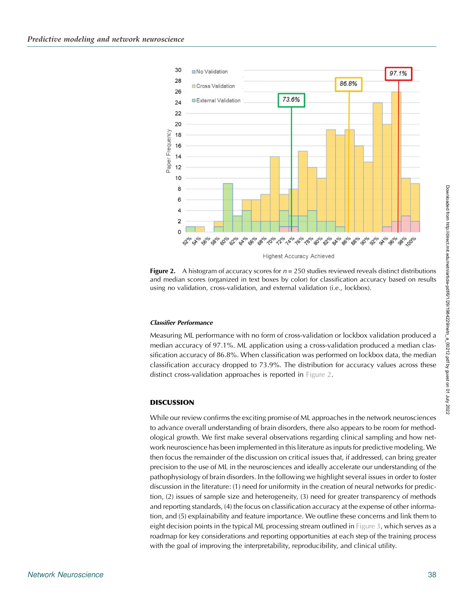<span id="page-9-0"></span>

Figure 2. A histogram of accuracy scores for  $n = 250$  studies reviewed reveals distinct distributions and median scores (organized in text boxes by color) for classification accuracy based on results using no validation, cross-validation, and external validation (i.e., lockbox).

#### Classifier Performance

Measuring ML performance with no form of cross-validation or lockbox validation produced a median accuracy of 97.1%. ML application using a cross-validation produced a median classification accuracy of 86.8%. When classification was performed on lockbox data, the median classification accuracy dropped to 73.9%. The distribution for accuracy values across these distinct cross-validation approaches is reported in Figure 2.

#### **DISCUSSION**

While our review confirms the exciting promise of ML approaches in the network neurosciences to advance overall understanding of brain disorders, there also appears to be room for methodological growth. We first make several observations regarding clinical sampling and how network neuroscience has been implemented in this literature as inputs for predictive modeling. We then focus the remainder of the discussion on critical issues that, if addressed, can bring greater precision to the use of ML in the neurosciences and ideally accelerate our understanding of the pathophysiology of brain disorders. In the following we highlight several issues in order to foster discussion in the literature: (1) need for uniformity in the creation of neural networks for prediction, (2) issues of sample size and heterogeneity, (3) need for greater transparency of methods and reporting standards, (4) the focus on classification accuracy at the expense of other information, and (5) explainability and feature importance. We outline these concerns and link them to eight decision points in the typical ML processing stream outlined in [Figure 3](#page-10-0), which serves as a roadmap for key considerations and reporting opportunities at each step of the training process with the goal of improving the interpretability, reproducibility, and clinical utility.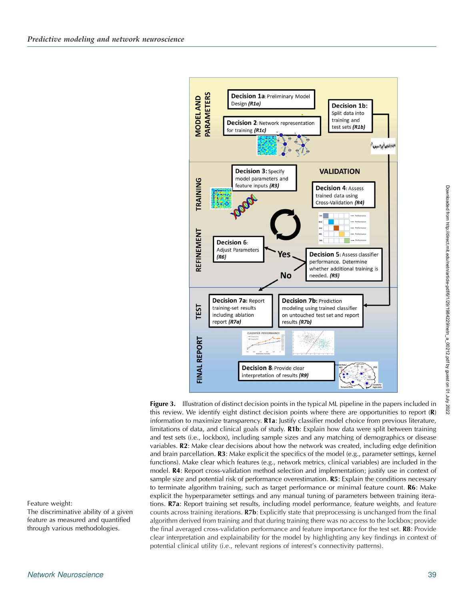<span id="page-10-0"></span>

**Figure 3.** Illustration of distinct decision points in the typical ML pipeline in the papers included in this review. We identify eight distinct decision points where there are opportunities to report  $(R)$ information to maximize transparency. R1a: Justify classifier model choice from previous literature, limitations of data, and clinical goals of study. R1b: Explain how data were split between training and test sets (i.e., lockbox), including sample sizes and any matching of demographics or disease variables. R2: Make clear decisions about how the network was created, including edge definition and brain parcellation.  $\mathbb{R}3$ : Make explicit the specifics of the model (e.g., parameter settings, kernel functions). Make clear which features (e.g., network metrics, clinical variables) are included in the model. R4: Report cross-validation method selection and implementation; justify use in context of sample size and potential risk of performance overestimation. R5: Explain the conditions necessary to terminate algorithm training, such as target performance or minimal feature count. R6: Make explicit the hyperparameter settings and any manual tuning of parameters between training iterations. R7a: Report training set results, including model performance, feature weights, and feature counts across training iterations. R7b: Explicitly state that preprocessing is unchanged from the final algorithm derived from training and that during training there was no access to the lockbox; provide the final averaged cross-validation performance and feature importance for the test set. R8: Provide clear interpretation and explainability for the model by highlighting any key findings in context of potential clinical utility (i.e., relevant regions of interest's connectivity patterns).

#### Feature weight:

The discriminative ability of a given feature as measured and quantified through various methodologies.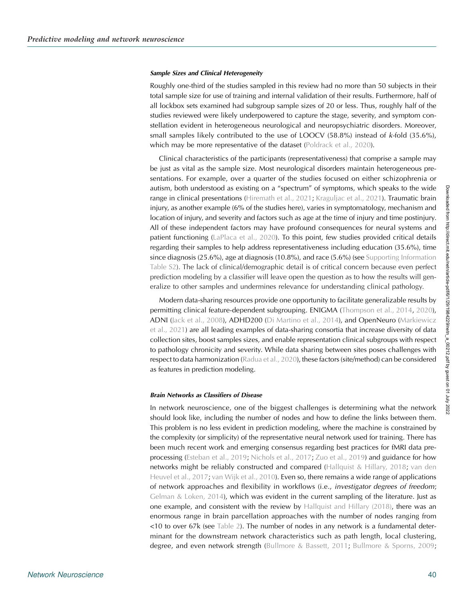#### Sample Sizes and Clinical Heterogeneity

Roughly one-third of the studies sampled in this review had no more than 50 subjects in their total sample size for use of training and internal validation of their results. Furthermore, half of all lockbox sets examined had subgroup sample sizes of 20 or less. Thus, roughly half of the studies reviewed were likely underpowered to capture the stage, severity, and symptom constellation evident in heterogeneous neurological and neuropsychiatric disorders. Moreover, small samples likely contributed to the use of LOOCV (58.8%) instead of k-fold (35.6%), which may be more representative of the dataset ([Poldrack et al., 2020](#page-18-0)).

Clinical characteristics of the participants (representativeness) that comprise a sample may be just as vital as the sample size. Most neurological disorders maintain heterogeneous presentations. For example, over a quarter of the studies focused on either schizophrenia or autism, both understood as existing on a "spectrum" of symptoms, which speaks to the wide range in clinical presentations ([Hiremath et al., 2021;](#page-17-0) [Kraguljac et al., 2021](#page-17-0)). Traumatic brain injury, as another example (6% of the studies here), varies in symptomatology, mechanism and location of injury, and severity and factors such as age at the time of injury and time postinjury. All of these independent factors may have profound consequences for neural systems and patient functioning [\(LaPlaca et al., 2020\)](#page-17-0). To this point, few studies provided critical details regarding their samples to help address representativeness including education (35.6%), time since diagnosis (25.6%), age at diagnosis (10.8%), and race (5.6%) (see Supporting Information Table S2). The lack of clinical/demographic detail is of critical concern because even perfect prediction modeling by a classifier will leave open the question as to how the results will generalize to other samples and undermines relevance for understanding clinical pathology.

Modern data-sharing resources provide one opportunity to facilitate generalizable results by permitting clinical feature-dependent subgrouping. ENIGMA [\(Thompson et al., 2014](#page-19-0), [2020\)](#page-18-0), ADNI [\(Jack et al., 2008](#page-17-0)), ADHD200 [\(Di Martino et al., 2014](#page-16-0)), and OpenNeuro ([Markiewicz](#page-18-0) [et al., 2021\)](#page-18-0) are all leading examples of data-sharing consortia that increase diversity of data collection sites, boost samples sizes, and enable representation clinical subgroups with respect to pathology chronicity and severity. While data sharing between sites poses challenges with respect to data harmonization [\(Radua et al., 2020\)](#page-18-0), these factors (site/method) can be considered as features in prediction modeling.

#### Brain Networks as Classifiers of Disease

In network neuroscience, one of the biggest challenges is determining what the network should look like, including the number of nodes and how to define the links between them. This problem is no less evident in prediction modeling, where the machine is constrained by the complexity (or simplicity) of the representative neural network used for training. There has been much recent work and emerging consensus regarding best practices for fMRI data preprocessing [\(Esteban et al., 2019;](#page-16-0) [Nichols et al., 2017](#page-18-0); [Zuo et al., 2019\)](#page-19-0) and guidance for how networks might be reliably constructed and compared ([Hallquist & Hillary, 2018](#page-17-0); [van den](#page-19-0) [Heuvel et al., 2017;](#page-19-0) [van Wijk et al., 2010](#page-19-0)). Even so, there remains a wide range of applications of network approaches and flexibility in workflows (i.e., investigator degrees of freedom; [Gelman & Loken, 2014](#page-16-0)), which was evident in the current sampling of the literature. Just as one example, and consistent with the review by [Hallquist and Hillary \(2018\),](#page-17-0) there was an enormous range in brain parcellation approaches with the number of nodes ranging from <10 to over 67k (see [Table 2](#page-6-0)). The number of nodes in any network is a fundamental determinant for the downstream network characteristics such as path length, local clustering, degree, and even network strength [\(Bullmore & Bassett, 2011](#page-16-0); [Bullmore & Sporns, 2009](#page-16-0);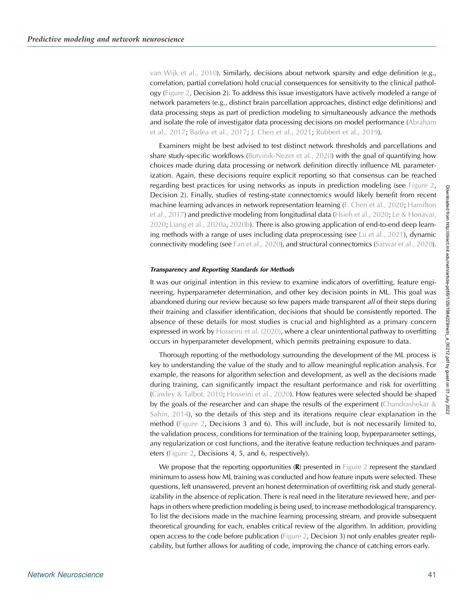[van Wijk et al., 2010](#page-19-0)). Similarly, decisions about network sparsity and edge definition (e.g., correlation, partial correlation) hold crucial consequences for sensitivity to the clinical pathology ([Figure 2](#page-9-0), Decision 2). To address this issue investigators have actively modeled a range of network parameters (e.g., distinct brain parcellation approaches, distinct edge definitions) and data processing steps as part of prediction modeling to simultaneously advance the methods and isolate the role of investigator data processing decisions on model performance ([Abraham](#page-15-0) [et al., 2017;](#page-15-0) [Badea et al., 2017;](#page-15-0) [J. Chen et al., 2021;](#page-16-0) [Rubbert et al., 2019](#page-18-0)).

Examiners might be best advised to test distinct network thresholds and parcellations and share study-specific workflows ([Botvinik-Nezer et al., 2020\)](#page-16-0) with the goal of quantifying how choices made during data processing or network definition directly influence ML parameterization. Again, these decisions require explicit reporting so that consensus can be reached regarding best practices for using networks as inputs in prediction modeling (see [Figure 2](#page-9-0), Decision 2). Finally, studies of resting-state connectomics would likely benefit from recent machine learning advances in network representation learning [\(F. Chen et al., 2020;](#page-16-0) [Hamilton](#page-17-0) [et al., 2017](#page-17-0)) and predictive modeling from longitudinal data [\(Hsieh et al., 2020](#page-17-0); [Le & Honavar,](#page-17-0) [2020;](#page-17-0) [Liang et al., 2020a,](#page-17-0) [2020b\)](#page-17-0). There is also growing application of end-to-end deep learning methods with a range of uses including data preprocessing (see [Lu et al., 2021\)](#page-17-0), dynamic connectivity modeling (see [Fan et al., 2020](#page-16-0)), and structural connectomics ([Sarwar et al., 2020\)](#page-18-0).

#### Transparency and Reporting Standards for Methods

It was our original intention in this review to examine indicators of overfitting, feature engineering, hyperparameter determination, and other key decision points in ML. This goal was abandoned during our review because so few papers made transparent all of their steps during their training and classifier identification, decisions that should be consistently reported. The absence of these details for most studies is crucial and highlighted as a primary concern expressed in work by [Hosseini et al. \(2020\),](#page-17-0) where a clear unintentional pathway to overfitting occurs in hyperparameter development, which permits pretraining exposure to data.

Thorough reporting of the methodology surrounding the development of the ML process is key to understanding the value of the study and to allow meaningful replication analysis. For example, the reasons for algorithm selection and development, as well as the decisions made during training, can significantly impact the resultant performance and risk for overfitting ([Cawley & Talbot, 2010](#page-16-0); [Hosseini et al., 2020\)](#page-17-0). How features were selected should be shaped by the goals of the researcher and can shape the results of the experiment (Chandrashekar  $&$ [Sahin, 2014\)](#page-16-0), so the details of this step and its iterations require clear explanation in the method ([Figure 2](#page-9-0), Decisions 3 and 6). This will include, but is not necessarily limited to, the validation process, conditions for termination of the training loop, hyperparameter settings, any regularization or cost functions, and the iterative feature reduction techniques and param-eters [\(Figure 2,](#page-9-0) Decisions 4, 5, and 6, respectively).

We propose that the reporting opportunities  $(R)$  presented in [Figure 2](#page-9-0) represent the standard minimum to assess how ML training was conducted and how feature inputs were selected. These questions, left unanswered, prevent an honest determination of overfitting risk and study generalizability in the absence of replication. There is real need in the literature reviewed here, and perhaps in others where prediction modeling is being used, to increase methodological transparency. To list the decisions made in the machine learning processing stream, and provide subsequent theoretical grounding for each, enables critical review of the algorithm. In addition, providing open access to the code before publication [\(Figure 2](#page-9-0), Decision 3) not only enables greater replicability, but further allows for auditing of code, improving the chance of catching errors early.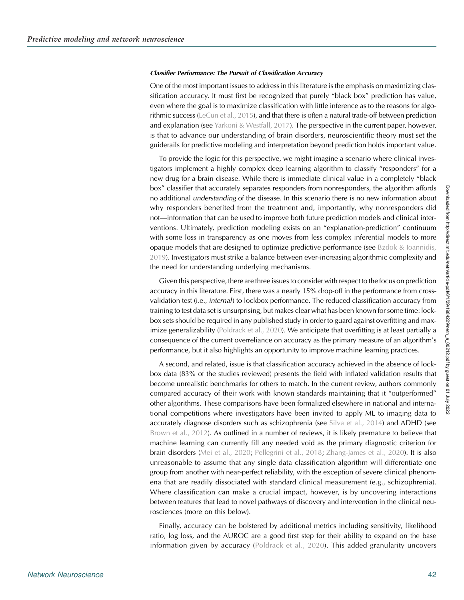#### Classifier Performance: The Pursuit of Classification Accuracy

One of the most important issues to address in this literature is the emphasis on maximizing classification accuracy. It must first be recognized that purely "black box" prediction has value, even where the goal is to maximize classification with little inference as to the reasons for algorithmic success [\(LeCun et al., 2015\)](#page-17-0), and that there is often a natural trade-off between prediction and explanation (see [Yarkoni & Westfall, 2017\)](#page-19-0). The perspective in the current paper, however, is that to advance our understanding of brain disorders, neuroscientific theory must set the guiderails for predictive modeling and interpretation beyond prediction holds important value.

To provide the logic for this perspective, we might imagine a scenario where clinical investigators implement a highly complex deep learning algorithm to classify "responders" for a new drug for a brain disease. While there is immediate clinical value in a completely "black box" classifier that accurately separates responders from nonresponders, the algorithm affords no additional *understanding* of the disease. In this scenario there is no new information about why responders benefited from the treatment and, importantly, why nonresponders did not—information that can be used to improve both future prediction models and clinical interventions. Ultimately, prediction modeling exists on an "explanation-prediction" continuum with some loss in transparency as one moves from less complex inferential models to more opaque models that are designed to optimize predictive performance (see [Bzdok & Ioannidis,](#page-16-0) [2019\)](#page-16-0). Investigators must strike a balance between ever-increasing algorithmic complexity and the need for understanding underlying mechanisms.

Given this perspective, there are three issues to consider with respect to the focus on prediction accuracy in this literature. First, there was a nearly 15% drop-off in the performance from crossvalidation test (i.e., internal) to lockbox performance. The reduced classification accuracy from training to test data set is unsurprising, but makes clear what has been known for some time: lockbox sets should be required in any published study in order to guard against overfitting and maximize generalizability [\(Poldrack et al., 2020](#page-18-0)). We anticipate that overfitting is at least partially a consequence of the current overreliance on accuracy as the primary measure of an algorithm's performance, but it also highlights an opportunity to improve machine learning practices.

A second, and related, issue is that classification accuracy achieved in the absence of lockbox data (83% of the studies reviewed) presents the field with inflated validation results that become unrealistic benchmarks for others to match. In the current review, authors commonly compared accuracy of their work with known standards maintaining that it "outperformed" other algorithms. These comparisons have been formalized elsewhere in national and international competitions where investigators have been invited to apply ML to imaging data to accurately diagnose disorders such as schizophrenia (see [Silva et al., 2014\)](#page-18-0) and ADHD (see [Brown et al., 2012](#page-16-0)). As outlined in a number of reviews, it is likely premature to believe that machine learning can currently fill any needed void as the primary diagnostic criterion for brain disorders [\(Mei et al., 2020;](#page-18-0) [Pellegrini et al., 2018;](#page-18-0) [Zhang-James et al., 2020](#page-19-0)). It is also unreasonable to assume that any single data classification algorithm will differentiate one group from another with near-perfect reliability, with the exception of severe clinical phenomena that are readily dissociated with standard clinical measurement (e.g., schizophrenia). Where classification can make a crucial impact, however, is by uncovering interactions between features that lead to novel pathways of discovery and intervention in the clinical neurosciences (more on this below).

Finally, accuracy can be bolstered by additional metrics including sensitivity, likelihood ratio, log loss, and the AUROC are a good first step for their ability to expand on the base information given by accuracy ([Poldrack et al., 2020\)](#page-18-0). This added granularity uncovers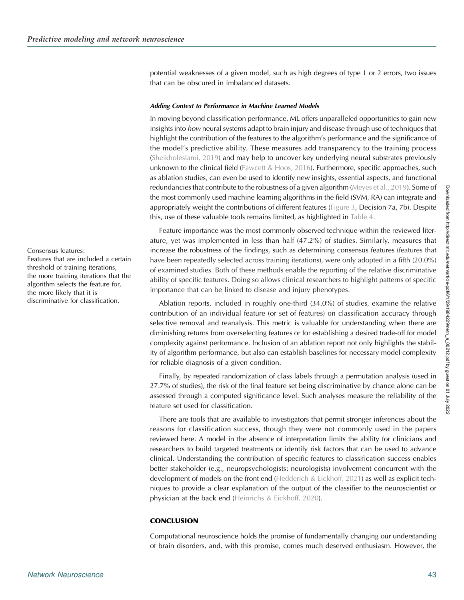potential weaknesses of a given model, such as high degrees of type 1 or 2 errors, two issues that can be obscured in imbalanced datasets.

#### Adding Context to Performance in Machine Learned Models

In moving beyond classification performance, ML offers unparalleled opportunities to gain new insights into how neural systems adapt to brain injury and disease through use of techniques that highlight the contribution of the features to the algorithm's performance and the significance of the model's predictive ability. These measures add transparency to the training process ([Sheikholeslami, 2019](#page-18-0)) and may help to uncover key underlying neural substrates previously unknown to the clinical field [\(Fawcett & Hoos, 2016\)](#page-16-0). Furthermore, specific approaches, such as ablation studies, can even be used to identify new insights, essential aspects, and functional redundancies that contribute to the robustness of a given algorithm ([Meyes et al., 2019\)](#page-18-0). Some of the most commonly used machine learning algorithms in the field (SVM, RA) can integrate and appropriately weight the contributions of different features [\(Figure 3,](#page-10-0) Decision 7a, 7b). Despite this, use of these valuable tools remains limited, as highlighted in [Table 4](#page-8-0).

Feature importance was the most commonly observed technique within the reviewed literature, yet was implemented in less than half (47.2%) of studies. Similarly, measures that increase the robustness of the findings, such as determining consensus features (features that have been repeatedly selected across training iterations), were only adopted in a fifth (20.0%) of examined studies. Both of these methods enable the reporting of the relative discriminative ability of specific features. Doing so allows clinical researchers to highlight patterns of specific importance that can be linked to disease and injury phenotypes.

Ablation reports, included in roughly one-third (34.0%) of studies, examine the relative contribution of an individual feature (or set of features) on classification accuracy through selective removal and reanalysis. This metric is valuable for understanding when there are diminishing returns from overselecting features or for establishing a desired trade-off for model complexity against performance. Inclusion of an ablation report not only highlights the stability of algorithm performance, but also can establish baselines for necessary model complexity for reliable diagnosis of a given condition.

Finally, by repeated randomization of class labels through a permutation analysis (used in 27.7% of studies), the risk of the final feature set being discriminative by chance alone can be assessed through a computed significance level. Such analyses measure the reliability of the feature set used for classification.

There are tools that are available to investigators that permit stronger inferences about the reasons for classification success, though they were not commonly used in the papers reviewed here. A model in the absence of interpretation limits the ability for clinicians and researchers to build targeted treatments or identify risk factors that can be used to advance clinical. Understanding the contribution of specific features to classification success enables better stakeholder (e.g., neuropsychologists; neurologists) involvement concurrent with the development of models on the front end [\(Hedderich & Eickhoff, 2021](#page-17-0)) as well as explicit techniques to provide a clear explanation of the output of the classifier to the neuroscientist or physician at the back end [\(Heinrichs & Eickhoff, 2020\)](#page-17-0).

# **CONCLUSION**

Computational neuroscience holds the promise of fundamentally changing our understanding of brain disorders, and, with this promise, comes much deserved enthusiasm. However, the

Consensus features: Features that are included a certain threshold of training iterations, the more training iterations that the algorithm selects the feature for, the more likely that it is discriminative for classification.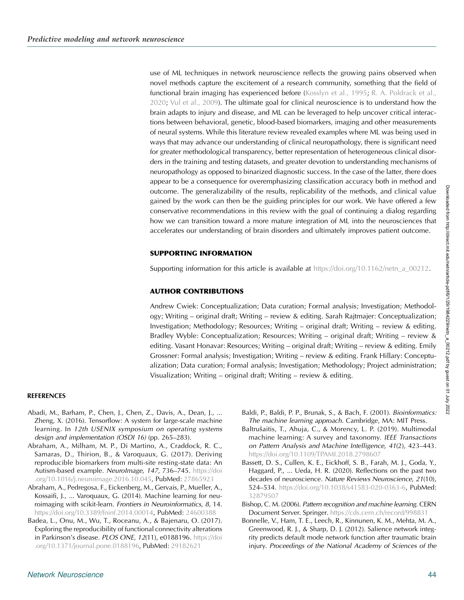<span id="page-15-0"></span>use of ML techniques in network neuroscience reflects the growing pains observed when novel methods capture the excitement of a research community, something that the field of functional brain imaging has experienced before [\(Kosslyn et al., 1995](#page-17-0); [R. A. Poldrack et al.,](#page-18-0) [2020;](#page-18-0) [Vul et al., 2009](#page-19-0)). The ultimate goal for clinical neuroscience is to understand how the brain adapts to injury and disease, and ML can be leveraged to help uncover critical interactions between behavioral, genetic, blood-based biomarkers, imaging and other measurements of neural systems. While this literature review revealed examples where ML was being used in ways that may advance our understanding of clinical neuropathology, there is significant need for greater methodological transparency, better representation of heterogeneous clinical disorders in the training and testing datasets, and greater devotion to understanding mechanisms of neuropathology as opposed to binarized diagnostic success. In the case of the latter, there does appear to be a consequence for overemphasizing classification accuracy both in method and outcome. The generalizability of the results, replicability of the methods, and clinical value gained by the work can then be the guiding principles for our work. We have offered a few conservative recommendations in this review with the goal of continuing a dialog regarding how we can transition toward a more mature integration of ML into the neurosciences that accelerates our understanding of brain disorders and ultimately improves patient outcome.

#### SUPPORTING INFORMATION

Supporting information for this article is available at [https://doi.org/10.1162/netn\\_a\\_00212](https://doi.org/10.1162/netn_a_00212).

#### AUTHOR CONTRIBUTIONS

Andrew Cwiek: Conceptualization; Data curation; Formal analysis; Investigation; Methodology; Writing – original draft; Writing – review & editing. Sarah Rajtmajer: Conceptualization; Investigation; Methodology; Resources; Writing – original draft; Writing – review & editing. Bradley Wyble: Conceptualization; Resources; Writing – original draft; Writing – review & editing. Vasant Honavar: Resources; Writing – original draft; Writing – review & editing. Emily Grossner: Formal analysis; Investigation; Writing – review & editing. Frank Hillary: Conceptualization; Data curation; Formal analysis; Investigation; Methodology; Project administration; Visualization; Writing – original draft; Writing – review & editing.

#### REFERENCES

- Abadi, M., Barham, P., Chen, J., Chen, Z., Davis, A., Dean, J., ... Zheng, X. (2016). Tensorflow: A system for large-scale machine learning. In 12th USENIX symposium on operating systems design and implementation (OSDI 16) (pp. 265–283).
- Abraham, A., Milham, M. P., Di Martino, A., Craddock, R. C., Samaras, D., Thirion, B., & Varoquaux, G. (2017). Deriving reproducible biomarkers from multi-site resting-state data: An Autism-based example. NeuroImage, 147, 736–745. [https://doi](https://doi.org/10.1016/j.neuroimage.2016.10.045) [.org/10.1016/j.neuroimage.2016.10.045](https://doi.org/10.1016/j.neuroimage.2016.10.045), PubMed: [27865923](https://pubmed.ncbi.nlm.nih.gov/27865923)
- Abraham, A., Pedregosa, F., Eickenberg, M., Gervais, P., Mueller, A., Kossaifi, J., ... Varoquaux, G. (2014). Machine learning for neuroimaging with scikit-learn. Frontiers in Neuroinformatics, 8, 14. <https://doi.org/10.3389/fninf.2014.00014>, PubMed: [24600388](https://pubmed.ncbi.nlm.nih.gov/24600388)
- Badea, L., Onu, M., Wu, T., Roceanu, A., & Bajenaru, O. (2017). Exploring the reproducibility of functional connectivity alterations in Parkinson's disease. PLOS ONE, 12(11), e0188196. [https://doi](https://doi.org/10.1371/journal.pone.0188196) [.org/10.1371/journal.pone.0188196,](https://doi.org/10.1371/journal.pone.0188196) PubMed: [29182621](https://pubmed.ncbi.nlm.nih.gov/29182621)
- Baldi, P., Baldi, P. P., Brunak, S., & Bach, F. (2001). Bioinformatics: The machine learning approach. Cambridge, MA: MIT Press.
- Baltrušaitis, T., Ahuja, C., & Morency, L. P. (2019). Multimodal machine learning: A survey and taxonomy. IEEE Transactions on Pattern Analysis and Machine Intelligence, 41(2), 423–443. <https://doi.org/10.1109/TPAMI.2018.2798607>
- Bassett, D. S., Cullen, K. E., Eickhoff, S. B., Farah, M. J., Goda, Y., Haggard, P., ... Ueda, H. R. (2020). Reflections on the past two decades of neuroscience. Nature Reviews Neuroscience, 21(10), 524–534. <https://doi.org/10.1038/s41583-020-0363-6>, PubMed: [32879507](https://pubmed.ncbi.nlm.nih.gov/32879507)
- Bishop, C. M. (2006). Pattern recognition and machine learning. CERN Document Server. Springer. <https://cds.cern.ch/record/998831>
- Bonnelle, V., Ham, T. E., Leech, R., Kinnunen, K. M., Mehta, M. A., Greenwood, R. J., & Sharp, D. J. (2012). Salience network integrity predicts default mode network function after traumatic brain injury. Proceedings of the National Academy of Sciences of the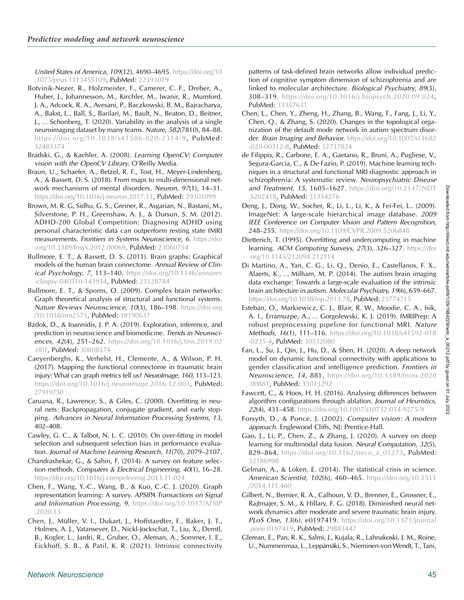<span id="page-16-0"></span>United States of America, 109(12), 4690–4695. [https://doi.org/10](https://doi.org/10.1073/pnas.1113455109) [.1073/pnas.1113455109,](https://doi.org/10.1073/pnas.1113455109) PubMed: [22393019](https://pubmed.ncbi.nlm.nih.gov/22393019)

- Botvinik-Nezer, R., Holzmeister, F., Camerer, C. F., Dreber, A., Huber, J., Johannesson, M., Kirchler, M., Iwanir, R., Mumford, J. A., Adcock, R. A., Avesani, P., Baczkowski, B. M., Bajracharya, A., Bakst, L., Ball, S., Barilari, M., Bault, N., Beaton, D., Beitner, J., … Schonberg, T. (2020). Variability in the analysis of a single neuroimaging dataset by many teams. Nature, 582(7810), 84–88. [https://doi.org/10.1038/s41586-020-2314-9](https://doi.org/10.1016/j.neuron.2017.11), PubMed: [32483374](https://pubmed.ncbi.nlm.nih.gov/29301099)
- Bradski, G., & Kaehler, A. (2008). Learning OpenCV: Computer vision with the OpenCV Library. O'Reilly Media.
- Braun, U., Schaefer, A., Betzel, R. F., Tost, H., Meyer-Lindenberg, A., & Bassett, D. S. (2018). From maps to multi-dimensional network mechanisms of mental disorders. Neuron, 97(1), 14–31. [https://doi.org/10.1016/j.neuron.2017.11,](https://doi.org/10.1016/j.neuron.2017.11) PubMed: [29301099](https://pubmed.ncbi.nlm.nih.gov/29301099)
- Brown, M. R. G, Sidhu, G. S., Greiner, R., Asgarian, N., Bastani, M., Silverstone, P. H., Greenshaw, A. J., & Dursun, S. M. (2012). ADHD-200 Global Competition: Diagnosing ADHD using personal characteristic data can outperform resting state fMRI measurements. Frontiers in Systems Neuroscience, 6. [https://doi](https://doi.org/10.3389/fnsys.2012.00069) [.org/10.3389/fnsys.2012.00069,](https://doi.org/10.3389/fnsys.2012.00069) PubMed: [23060754](https://pubmed.ncbi.nlm.nih.gov/23060754)
- Bullmore, E. T., & Bassett, D. S. (2011). Brain graphs: Graphical models of the human brain connectome. Annual Review of Clinical Psychology, 7, 113-140. [https://doi.org/10.1146/annurev](https://doi.org/10.1146/annurev-clinpsy-040510-143934) [-clinpsy-040510-143934](https://doi.org/10.1146/annurev-clinpsy-040510-143934), PubMed: [21128784](https://pubmed.ncbi.nlm.nih.gov/21128784)
- Bullmore, E. T., & Sporns, O. (2009). Complex brain networks: Graph theoretical analysis of structural and functional systems. Nature Reviews Neuroscience, 10(3), 186-198. [https://doi.org](https://doi.org/10.1038/nrn2575) [/10.1038/nrn2575](https://doi.org/10.1038/nrn2575), PubMed: [19190637](https://pubmed.ncbi.nlm.nih.gov/19190637)
- Bzdok, D., & Ioannidis, J. P. A. (2019). Exploration, inference, and prediction in neuroscience and biomedicine. Trends in Neurosciences, 42(4), 251–262. [https://doi.org/10.1016/j.tins.2019.02](https://doi.org/10.1016/j.tins.2019.02.001) [.001,](https://doi.org/10.1016/j.tins.2019.02.001) PubMed: [30808574](https://pubmed.ncbi.nlm.nih.gov/30808574)
- Caeyenberghs, K., Verhelst, H., Clemente, A., & Wilson, P. H. (2017). Mapping the functional connectome in traumatic brain injury: What can graph metrics tell us? NeuroImage, 160, 113–123. [https://doi.org/10.1016/j.neuroimage.2016.12.003,](https://doi.org/10.1016/j.neuroimage.2016.12.003) PubMed: [27919750](https://pubmed.ncbi.nlm.nih.gov/27919750)
- Caruana, R., Lawrence, S., & Giles, C. (2000). Overfitting in neural nets: Backpropagation, conjugate gradient, and early stopping. Advances in Neural Information Processing Systems, 13, 402–408.
- Cawley, G. C., & Talbot, N. L. C. (2010). On over-fitting in model selection and subsequent selection bias in performance evaluation. Journal of Machine Learning Research, 11(70), 2079–2107.
- Chandrashekar, G., & Sahin, F. (2014). A survey on feature selection methods. Computers & Electrical Engineering, 40(1), 16–28. <https://doi.org/10.1016/j.compeleceng.2013.11.024>
- Chen, F., Wang, Y.-C., Wang, B., & Kuo, C.-C. J. (2020). Graph representation learning: A survey. APSIPA Transactions on Signal and Information Processing, 9. [https://doi.org/10.1017/ATSIP](https://doi.org/10.1017/ATSIP.2020.13) [.2020.13](https://doi.org/10.1017/ATSIP.2020.13)
- Chen, J., Müller, V. I., Dukart, J., Hoffstaedter, F., Baker, J. T., Holmes, A. J., Vatansever, D., Nickl-Jockschat, T., Liu, X., Derntl, B., Kogler, L., Jardri, R., Gruber, O., Aleman, A., Sommer, I. E., Eickhoff, S. B., & Patil, K. R. (2021). Intrinsic connectivity
- Chen, L., Chen, Y., Zheng, H., Zhang, B., Wang, F., Fang, J., Li, Y., Chen, Q., & Zhang, S. (2020). Changes in the topological organization of the default mode network in autism spectrum disorder. Brain Imaging and Behavior. [https://doi.org/10.1007/s11682](https://doi.org/10.1007/s11682-020-00312-8) [-020-00312-8,](https://doi.org/10.1007/s11682-020-00312-8) PubMed: [32737824](https://pubmed.ncbi.nlm.nih.gov/32737824)
- de Filippis, R., Carbone, E. A., Gaetano, R., Bruni, A., Pugliese, V., Segura-Garcia, C., & De Fazio, P. (2019). Machine learning techniques in a structural and functional MRI diagnostic approach in schizophrenia: A systematic review. Neuropsychiatric Disease and Treatment, 15, 1605–1627. [https://doi.org/10.2147/NDT](https://doi.org/10.2147/NDT.S202418) [.S202418,](https://doi.org/10.2147/NDT.S202418) PubMed: [31354276](https://pubmed.ncbi.nlm.nih.gov/31354276)
- Deng, J., Dong, W., Socher, R., Li, L., Li, K., & Fei-Fei, L.. (2009). ImageNet: A large-scale hierarchical image database. 2009 IEEE Conference on Computer Vision and Pattern Recognition, 248–255. <https://doi.org/10.1109/CVPR.2009.5206848>
- Dietterich, T. (1995). Overfitting and undercomputing in machine learning. ACM Computing Surveys, 27(3), 326-327. [https://doi](https://doi.org/10.1145/212094.212114) [.org/10.1145/212094.212114](https://doi.org/10.1145/212094.212114)
- Di Martino, A., Yan, C. G., Li, Q., Denio, E., Castellanos, F. X., Alaerts, K., … Milham, M. P. (2014). The autism brain imaging data exchange: Towards a large-scale evaluation of the intrinsic brain architecture in autism. Molecular Psychiatry, 19(6), 659–667. <https://doi.org/10.1038/mp.2013.78>, PubMed: [23774715](https://pubmed.ncbi.nlm.nih.gov/23774715)
- Esteban, O., Markiewicz, C. J., Blair, R. W., Moodie, C. A., Isik, A. I., Erramuzpe, A., … Gorgolewski, K. J. (2019). fMRIPrep: A robust preprocessing pipeline for functional MRI. Nature Methods, 16(1), 111–116. [https://doi.org/10.1038/s41592-018](https://doi.org/10.1038/s41592-018-0235-4) [-0235-4,](https://doi.org/10.1038/s41592-018-0235-4) PubMed: [30532080](https://pubmed.ncbi.nlm.nih.gov/30532080)
- Fan, L., Su, J., Qin, J., Hu, D., & Shen, H. (2020). A deep network model on dynamic functional connectivity with applications to gender classification and intelligence prediction. Frontiers in Neuroscience, 14, 881. [https://doi.org/10.3389/fnins.2020](https://doi.org/10.3389/fnins.2020.00881) [.00881,](https://doi.org/10.3389/fnins.2020.00881) PubMed: [33013292](https://pubmed.ncbi.nlm.nih.gov/33013292)
- Fawcett, C., & Hoos, H. H. (2016). Analysing differences between algorithm configurations through ablation. Journal of Heuristics, 22(4), 431–458. <https://doi.org/10.1007/s10732-014-9275-9>
- Forsyth, D., & Ponce, J. (2002). Computer vision: A modern approach. Englewood Cliffs, NJ: Prentice-Hall.
- Gao, J., Li, P., Chen, Z., & Zhang, J. (2020). A survey on deep learning for multimodal data fusion. Neural Computation, 32(5), 829-864. [https://doi.org/10.1162/neco\\_a\\_01273,](https://doi.org/10.1162/neco_a_01273) PubMed: [32186998](https://pubmed.ncbi.nlm.nih.gov/32186998)
- Gelman, A., & Loken, E. (2014). The statistical crisis in science. American Scientist, 102(6), 460–465. [https://doi.org/10.1511](https://doi.org/10.1511/2014.111.460) [/2014.111.460](https://doi.org/10.1511/2014.111.460)
- Gilbert, N., Bernier, R. A., Calhoun, V. D., Brenner, E., Grossner, E., Rajtmajer, S. M., & Hillary, F. G. (2018). Diminished neural network dynamics after moderate and severe traumatic brain injury. PLoS One, 13(6), e0197419. [https://doi.org/10.1371/journal](https://doi.org/10.1371/journal.pone.0197419) [.pone.0197419](https://doi.org/10.1371/journal.pone.0197419), PubMed: [29883447](https://pubmed.ncbi.nlm.nih.gov/29883447)
- Glerean, E., Pan, R. K., Salmi, J., Kujala, R., Lahnakoski, J. M., Roine, U., Nummenmaa, L., Leppämäki, S., Nieminen-von Wendt, T., Tani,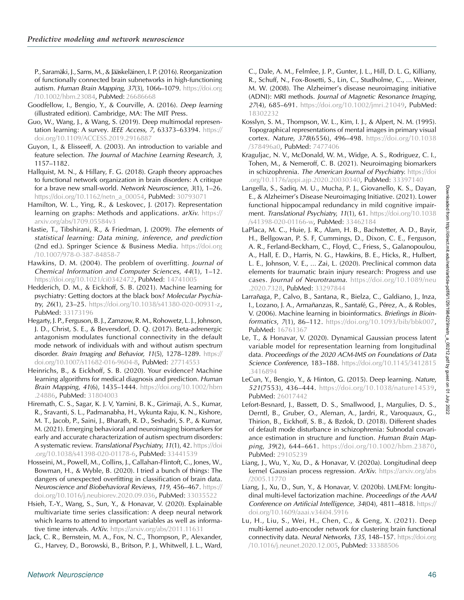<span id="page-17-0"></span>P., Saramäki, J., Sams, M., & Jääskeläinen, I. P. (2016). Reorganization of functionally connected brain subnetworks in high-functioning autism. Human Brain Mapping, 37(3), 1066-1079. [https://doi.org](https://doi.org/10.1002/hbm.23084) [/10.1002/hbm.23084,](https://doi.org/10.1002/hbm.23084) PubMed: [26686668](https://pubmed.ncbi.nlm.nih.gov/26686668)

- Goodfellow, I., Bengio, Y., & Courville, A. (2016). Deep learning (illustrated edition). Cambridge, MA: The MIT Press.
- Guo, W., Wang, J., & Wang, S. (2019). Deep multimodal representation learning: A survey. IEEE Access, 7, 63373–63394. [https://](https://doi.org/10.1109/ACCESS.2019.2916887) [doi.org/10.1109/ACCESS.2019.2916887](https://doi.org/10.1109/ACCESS.2019.2916887)
- Guyon, I., & Elisseeff, A. (2003). An introduction to variable and feature selection. The Journal of Machine Learning Research, 3, 1157–1182.
- Hallquist, M. N., & Hillary, F. G. (2018). Graph theory approaches to functional network organization in brain disorders: A critique for a brave new small-world. Network Neuroscience, 3(1), 1–26. [https://doi.org/10.1162/netn\\_a\\_00054](https://doi.org/10.1162/netn_a_00054), PubMed: [30793071](https://pubmed.ncbi.nlm.nih.gov/30793071)
- Hamilton, W. L., Ying, R., & Leskovec, J. (2017). Representation learning on graphs: Methods and applications. arXiv. [https://](https://arxiv.org/abs/1709.05584v3) [arxiv.org/abs/1709.05584v3](https://arxiv.org/abs/1709.05584v3)
- Hastie, T., Tibshirani, R., & Friedman, J. (2009). The elements of statistical learning: Data mining, inference, and prediction (2nd ed.). Springer Science & Business Media. [https://doi.org](https://doi.org/10.1007/978-0-387-84858-7) [/10.1007/978-0-387-84858-7](https://doi.org/10.1007/978-0-387-84858-7)
- Hawkins, D. M. (2004). The problem of overfitting. Journal of Chemical Information and Computer Sciences, 44(1), 1–12. <https://doi.org/10.1021/ci0342472>, PubMed: [14741005](https://pubmed.ncbi.nlm.nih.gov/14741005)
- Hedderich, D. M., & Eickhoff, S. B. (2021). Machine learning for psychiatry: Getting doctors at the black box? Molecular Psychiatry, 26(1), 23–25. [https://doi.org/10.1038/s41380-020-00931-z,](https://doi.org/10.1038/s41380-020-00931-z) PubMed: [33173196](https://pubmed.ncbi.nlm.nih.gov/33173196)
- Hegarty, J. P., Ferguson, B. J., Zamzow, R. M., Rohowetz, L. J., Johnson, J. D., Christ, S. E., & Beversdorf, D. Q. (2017). Beta-adrenergic antagonism modulates functional connectivity in the default mode network of individuals with and without autism spectrum disorder. Brain Imaging and Behavior, 11(5), 1278-1289. [https://](https://doi.org/10.1007/s11682-016-9604-8) [doi.org/10.1007/s11682-016-9604-8,](https://doi.org/10.1007/s11682-016-9604-8) PubMed: [27714553](https://pubmed.ncbi.nlm.nih.gov/27714553)
- Heinrichs, B., & Eickhoff, S. B. (2020). Your evidence? Machine learning algorithms for medical diagnosis and prediction. Human Brain Mapping, 41(6), 1435–1444. [https://doi.org/10.1002/hbm](https://doi.org/10.1002/hbm.24886) [.24886,](https://doi.org/10.1002/hbm.24886) PubMed: [31804003](https://pubmed.ncbi.nlm.nih.gov/31804003)
- Hiremath, C. S., Sagar, K. J. V, Yamini, B. K., Girimaji, A. S., Kumar, R., Sravanti, S. L., Padmanabha, H., Vykunta Raju, K. N., Kishore, M. T., Jacob, P., Saini, J., Bharath, R. D., Seshadri, S. P., & Kumar, M. (2021). Emerging behavioral and neuroimaging biomarkers for early and accurate characterization of autism spectrum disorders: A systematic review. Translational Psychiatry, 11(1), 42. [https://doi](https://doi.org/10.1038/s41398-020-01178-6) [.org/10.1038/s41398-020-01178-6,](https://doi.org/10.1038/s41398-020-01178-6) PubMed: [33441539](https://pubmed.ncbi.nlm.nih.gov/33441539)
- Hosseini, M., Powell, M., Collins, J., Callahan-Flintoft, C., Jones, W., Bowman, H., & Wyble, B. (2020). I tried a bunch of things: The dangers of unexpected overfitting in classification of brain data. Neuroscience and Biobehavioral Reviews, 119, 456–467. [https://](https://doi.org/10.1016/j.neubiorev.2020.09.036) [doi.org/10.1016/j.neubiorev.2020.09.036,](https://doi.org/10.1016/j.neubiorev.2020.09.036) PubMed: [33035522](https://pubmed.ncbi.nlm.nih.gov/33035522)
- Hsieh, T.-Y., Wang, S., Sun, Y., & Honavar, V. (2020). Explainable multivariate time series classification: A deep neural network which learns to attend to important variables as well as informative time intervals. ArXiv. [https://arxiv.org/abs/2011.11631](http://arxiv.org/abs/2011.11631)
- Jack, C. R., Bernstein, M. A., Fox, N. C., Thompson, P., Alexander, G., Harvey, D., Borowski, B., Britson, P. J., Whitwell, J. L., Ward,

C., Dale, A. M., Felmlee, J. P., Gunter, J. L., Hill, D. L. G, Killiany, R., Schuff, N., Fox-Bosetti, S., Lin, C., Studholme, C., … Weiner, M. W. (2008). The Alzheimer's disease neuroimaging initiative (ADNI): MRI methods. Journal of Magnetic Resonance Imaging, 27(4), 685–691. <https://doi.org/10.1002/jmri.21049>, PubMed: [18302232](https://pubmed.ncbi.nlm.nih.gov/18302232)

- Kosslyn, S. M., Thompson, W. L., Kim, I. J., & Alpert, N. M. (1995). Topographical representations of mental images in primary visual cortex. Nature, 378(6556), 496–498. [https://doi.org/10.1038](https://doi.org/10.1038/378496a0) [/378496a0,](https://doi.org/10.1038/378496a0) PubMed: [7477406](https://pubmed.ncbi.nlm.nih.gov/7477406)
- Kraguljac, N. V., McDonald, W. M., Widge, A. S., Rodriguez, C. I., Tohen, M., & Nemeroff, C. B. (2021). Neuroimaging biomarkers in schizophrenia. The American Journal of Psychiatry. [https://doi](https://doi.org/10.1176/appi.ajp.2020.20030340) [.org/10.1176/appi.ajp.2020.20030340,](https://doi.org/10.1176/appi.ajp.2020.20030340) PubMed: [33397140](https://pubmed.ncbi.nlm.nih.gov/33397140)
- Langella, S., Sadiq, M. U., Mucha, P. J., Giovanello, K. S., Dayan, E., & Alzheimer's Disease Neuroimaging Initiative. (2021). Lower functional hippocampal redundancy in mild cognitive impairment. Translational Psychiatry, 11(1), 61. [https://doi.org/10.1038](https://doi.org/10.1038/s41398-020-01166-w) [/s41398-020-01166-w,](https://doi.org/10.1038/s41398-020-01166-w) PubMed: [33462184](https://pubmed.ncbi.nlm.nih.gov/33462184)
- LaPlaca, M. C., Huie, J. R., Alam, H. B., Bachstetter, A. D., Bayir, H., Bellgowan, P. S. F, Cummings, D., Dixon, C. E., Ferguson, A. R., Ferland-Beckham, C., Floyd, C., Friess, S., Galanopoulou, A., Hall, E. D., Harris, N. G., Hawkins, B. E., Hicks, R., Hulbert, L. E., Johnson, V. E., … Zai, L. (2020). Preclinical common data elements for traumatic brain injury research: Progress and use cases. Journal of Neurotrauma. [https://doi.org/10.1089/neu](https://doi.org/10.1089/neu.2020.7328) [.2020.7328,](https://doi.org/10.1089/neu.2020.7328) PubMed: [33297844](https://pubmed.ncbi.nlm.nih.gov/33297844)
- Larrañaga, P., Calvo, B., Santana, R., Bielza, C., Galdiano, J., Inza, I., Lozano, J. A., Armañanzas, R., Santafé, G., Pérez, A., & Robles, V. (2006). Machine learning in bioinformatics. Briefings in Bioinformatics, 7(1), 86–112. [https://doi.org/10.1093/bib/bbk007,](https://doi.org/10.1093/bib/bbk007) PubMed: [16761367](https://pubmed.ncbi.nlm.nih.gov/16761367)
- Le, T., & Honavar, V. (2020). Dynamical Gaussian process latent variable model for representation learning from longitudinal data. Proceedings of the 2020 ACM-IMS on Foundations of Data Science Conference, 183-188. [https://doi.org/10.1145/3412815](https://doi.org/10.1145/3412815.3416894) [.3416894](https://doi.org/10.1145/3412815.3416894)
- LeCun, Y., Bengio, Y., & Hinton, G. (2015). Deep learning. Nature, 521(7553), 436–444. [https://doi.org/10.1038/nature14539,](https://doi.org/10.1038/nature14539) PubMed: [26017442](https://pubmed.ncbi.nlm.nih.gov/26017442)
- Lefort-Besnard, J., Bassett, D. S., Smallwood, J., Margulies, D. S., Derntl, B., Gruber, O., Aleman, A., Jardri, R., Varoquaux, G., Thirion, B., Eickhoff, S. B., & Bzdok, D. (2018). Different shades of default mode disturbance in schizophrenia: Subnodal covariance estimation in structure and function. Human Brain Mapping, 39(2), 644–661. [https://doi.org/10.1002/hbm.23870,](https://doi.org/10.1002/hbm.23870) PubMed: [29105239](https://pubmed.ncbi.nlm.nih.gov/29105239)
- Liang, J., Wu, Y., Xu, D., & Honavar, V. (2020a). Longitudinal deep kernel Gaussian process regression. ArXiv. [https://arxiv.org/abs](http://arxiv.org/abs/2005.11770) [/2005.11770](http://arxiv.org/abs/2005.11770)
- Liang, J., Xu, D., Sun, Y., & Honavar, V. (2020b). LMLFM: longitudinal multi-level factorization machine. Proceedings of the AAAI Conference on Artificial Intelligence, 34(04), 4811-4818. [https://](https://doi.org/10.1609/aaai.v34i04.5916) [doi.org/10.1609/aaai.v34i04.5916](https://doi.org/10.1609/aaai.v34i04.5916)
- Lu, H., Liu, S., Wei, H., Chen, C., & Geng, X. (2021). Deep multi-kernel auto-encoder network for clustering brain functional connectivity data. Neural Networks, 135, 148–157. [https://doi.org](https://doi.org/10.1016/j.neunet.2020.12.005) [/10.1016/j.neunet.2020.12.005](https://doi.org/10.1016/j.neunet.2020.12.005), PubMed: [33388506](https://pubmed.ncbi.nlm.nih.gov/33388506)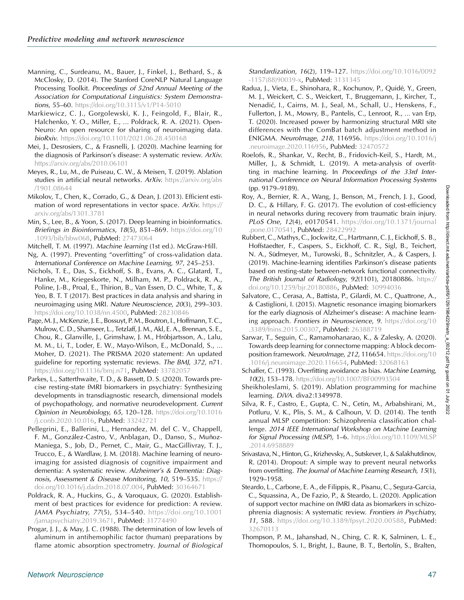<span id="page-18-0"></span>Manning, C., Surdeanu, M., Bauer, J., Finkel, J., Bethard, S., & McClosky, D. (2014). The Stanford CoreNLP Natural Language Processing Toolkit. Proceedings of 52nd Annual Meeting of the Association for Computational Linguistics: System Demonstrations, 55–60. <https://doi.org/10.3115/v1/P14-5010>

- Markiewicz, C. J., Gorgolewski, K. J., Feingold, F., Blair, R., Halchenko, Y. O., Miller, E., … Poldrack, R. A. (2021). Open-Neuro: An open resource for sharing of neuroimaging data. bioRxiv. <https://doi.org/10.1101/2021.06.28.450168>
- Mei, J., Desrosiers, C., & Frasnelli, J. (2020). Machine learning for the diagnosis of Parkinson's disease: A systematic review. ArXiv. [https://arxiv.org/abs/2010.06101](http://arxiv.org/abs/2010.06101)
- Meyes, R., Lu, M., de Puiseau, C. W., & Meisen, T. (2019). Ablation studies in artificial neural networks. ArXiv. [https://arxiv.org/abs](http://arxiv.org/abs/1901.08644) [/1901.08644](http://arxiv.org/abs/1901.08644)
- Mikolov, T., Chen, K., Corrado, G., & Dean, J. (2013). Efficient estimation of word representations in vector space. ArXiv. [https://](http://arxiv.org/abs/1301.3781) [arxiv.org/abs/1301.3781](http://arxiv.org/abs/1301.3781)
- Min, S., Lee, B., & Yoon, S. (2017). Deep learning in bioinformatics. Briefings in Bioinformatics, 18(5), 851-869. [https://doi.org/10](https://doi.org/10.1093/bib/bbw068) [.1093/bib/bbw068](https://doi.org/10.1093/bib/bbw068), PubMed: [27473064](https://pubmed.ncbi.nlm.nih.gov/27473064)
- Mitchell, T. M. (1997). Machine learning (1st ed.). McGraw-Hill. Ng, A. (1997). Preventing "overfitting" of cross-validation data. International Conference on Machine Learning, 97, 245–253.
- Nichols, T. E., Das, S., Eickhoff, S. B., Evans, A. C., Glatard, T., Hanke, M., Kriegeskorte, N., Milham, M. P., Poldrack, R. A., Poline, J.-B., Proal, E., Thirion, B., Van Essen, D. C., White, T., & Yeo, B. T. T (2017). Best practices in data analysis and sharing in neuroimaging using MRI. Nature Neuroscience, 20(3), 299–303. [https://doi.org/10.1038/nn.4500,](https://doi.org/10.1038/nn.4500) PubMed: [28230846](https://pubmed.ncbi.nlm.nih.gov/28230846)
- Page, M. J., McKenzie, J. E., Bossuyt, P. M., Boutron, I., Hoffmann, T. C., Mulrow, C. D., Shamseer, L., Tetzlaff, J. M., Akl, E. A., Brennan, S. E., Chou, R., Glanville, J., Grimshaw, J. M., Hróbjartsson, A., Lalu, M. M., Li, T., Loder, E. W., Mayo-Wilson, E., McDonald, S., … Moher, D. (2021). The PRISMA 2020 statement: An updated guideline for reporting systematic reviews. The BMJ, 372, n71. <https://doi.org/10.1136/bmj.n71>, PubMed: [33782057](https://pubmed.ncbi.nlm.nih.gov/33782057)
- Parkes, L., Satterthwaite, T. D., & Bassett, D. S. (2020). Towards precise resting-state fMRI biomarkers in psychiatry: Synthesizing developments in transdiagnostic research, dimensional models of psychopathology, and normative neurodevelopment. Current Opinion in Neurobiology, 65, 120–128. [https://doi.org/10.1016](https://doi.org/10.1016/j.conb.2020.10.016) [/j.conb.2020.10.016](https://doi.org/10.1016/j.conb.2020.10.016), PubMed: [33242721](https://pubmed.ncbi.nlm.nih.gov/33242721)
- Pellegrini, E., Ballerini, L., Hernandez, M. del C. V., Chappell, F. M., González-Castro, V., Anblagan, D., Danso, S., Muñoz-Maniega, S., Job, D., Pernet, C., Mair, G., MacGillivray, T. J., Trucco, E., & Wardlaw, J. M. (2018). Machine learning of neuroimaging for assisted diagnosis of cognitive impairment and dementia: A systematic review. Alzheimer's & Dementia: Diagnosis, Assessment & Disease Monitoring, 10, 519-535. [https://](https://doi.org/10.1016/j.dadm.2018.07.004) [doi.org/10.1016/j.dadm.2018.07.004,](https://doi.org/10.1016/j.dadm.2018.07.004) PubMed: [30364671](https://pubmed.ncbi.nlm.nih.gov/30364671)
- Poldrack, R. A., Huckins, G., & Varoquaux, G. (2020). Establishment of best practices for evidence for prediction: A review. JAMA Psychiatry, 77(5), 534–540. [https://doi.org/10.1001](https://doi.org/10.1001/jamapsychiatry.2019.3671) [/jamapsychiatry.2019.3671](https://doi.org/10.1001/jamapsychiatry.2019.3671), PubMed: [31774490](https://pubmed.ncbi.nlm.nih.gov/31774490)
- Progar, J. J., & May, J. C. (1988). The determination of low levels of aluminum in antihemophilic factor (human) preparations by flame atomic absorption spectrometry. Journal of Biological

Standardization, 16(2), 119-127. [https://doi.org/10.1016/0092](https://doi.org/10.1016/0092-1157(88)90039-x) [-1157\(88\)90039-x,](https://doi.org/10.1016/0092-1157(88)90039-x) PubMed: [3131345](https://pubmed.ncbi.nlm.nih.gov/3131345)

- Radua, J., Vieta, E., Shinohara, R., Kochunov, P., Quidé, Y., Green, M. J., Weickert, C. S., Weickert, T., Bruggemann, J., Kircher, T., Nenadić, I., Cairns, M. J., Seal, M., Schall, U., Henskens, F., Fullerton, J. M., Mowry, B., Pantelis, C., Lenroot, R., … van Erp, T. (2020). Increased power by harmonizing structural MRI site differences with the ComBat batch adjustment method in ENIGMA. NeuroImage, 218, 116956. [https://doi.org/10.1016/j](https://doi.org/10.1016/j.neuroimage.2020.116956) [.neuroimage.2020.116956,](https://doi.org/10.1016/j.neuroimage.2020.116956) PubMed: [32470572](https://pubmed.ncbi.nlm.nih.gov/32470572)
- Roelofs, R., Shankar, V., Recht, B., Fridovich-Keil, S., Hardt, M., Miller, J., & Schmidt, L. (2019). A meta-analysis of overfitting in machine learning. In Proceedings of the 33rd International Conference on Neural Information Processing Systems (pp. 9179–9189).
- Roy, A., Bernier, R. A., Wang, J., Benson, M., French, J. J., Good, D. C., & Hillary, F. G. (2017). The evolution of cost-efficiency in neural networks during recovery from traumatic brain injury. PLoS One, 12(4), e0170541. [https://doi.org/10.1371/journal](https://doi.org/10.1371/journal.pone.0170541) [.pone.0170541](https://doi.org/10.1371/journal.pone.0170541), PubMed: [28422992](https://pubmed.ncbi.nlm.nih.gov/28422992)
- Rubbert, C., Mathys, C., Jockwitz, C., Hartmann, C. J., Eickhoff, S. B., Hoffstaedter, F., Caspers, S., Eickhoff, C. R., Sigl, B., Teichert, N. A., Südmeyer, M., Turowski, B., Schnitzler, A., & Caspers, J. (2019). Machine-learning identifies Parkinson's disease patients based on resting-state between-network functional connectivity. The British Journal of Radiology, 92(1101), 20180886. [https://](https://doi.org/10.1259/bjr.20180886) [doi.org/10.1259/bjr.20180886](https://doi.org/10.1259/bjr.20180886), PubMed: [30994036](https://pubmed.ncbi.nlm.nih.gov/30994036)
- Salvatore, C., Cerasa, A., Battista, P., Gilardi, M. C., Quattrone, A., & Castiglioni, I. (2015). Magnetic resonance imaging biomarkers for the early diagnosis of Alzheimer's disease: A machine learning approach. Frontiers in Neuroscience, 9. [https://doi.org/10](https://doi.org/10.3389/fnins.2015.00307) [.3389/fnins.2015.00307,](https://doi.org/10.3389/fnins.2015.00307) PubMed: [26388719](https://pubmed.ncbi.nlm.nih.gov/26388719)
- Sarwar, T., Seguin, C., Ramamohanarao, K., & Zalesky, A. (2020). Towards deep learning for connectome mapping: A block decomposition framework. NeuroImage, 212, 116654. [https://doi.org/10](https://doi.org/10.1016/j.neuroimage.2020.116654) [.1016/j.neuroimage.2020.116654,](https://doi.org/10.1016/j.neuroimage.2020.116654) PubMed: [32068163](https://pubmed.ncbi.nlm.nih.gov/32068163)
- Schaffer, C. (1993). Overfitting avoidance as bias. Machine Learning, 10(2), 153–178. <https://doi.org/10.1007/BF00993504>
- Sheikholeslami, S. (2019). Ablation programming for machine learning. DiVA. diva2:1349978.
- Silva, R. F., Castro, E., Gupta, C. N., Cetin, M., Arbabshirani, M., Potluru, V. K., Plis, S. M., & Calhoun, V. D. (2014). The tenth annual MLSP competition: Schizophrenia classification challenge. 2014 IEEE International Workshop on Machine Learning for Signal Processing (MLSP), 1-6. [https://doi.org/10.1109/MLSP](https://doi.org/10.1109/MLSP.2014.6958889) [.2014.6958889](https://doi.org/10.1109/MLSP.2014.6958889)
- Srivastava, N., Hinton, G., Krizhevsky, A., Sutskever, I., & Salakhutdinov, R. (2014). Dropout: A simple way to prevent neural networks from overfitting. The Journal of Machine Learning Research, 15(1), 1929–1958.
- Steardo, L., Carbone, E. A., de Filippis, R., Pisanu, C., Segura-Garcia, C., Squassina, A., De Fazio, P., & Steardo, L. (2020). Application of support vector machine on fMRI data as biomarkers in schizophrenia diagnosis: A systematic review. Frontiers in Psychiatry, 11, 588. <https://doi.org/10.3389/fpsyt.2020.00588>, PubMed: [32670113](https://pubmed.ncbi.nlm.nih.gov/32670113)
- Thompson, P. M., Jahanshad, N., Ching, C. R. K, Salminen, L. E., Thomopoulos, S. I., Bright, J., Baune, B. T., Bertolín, S., Bralten,